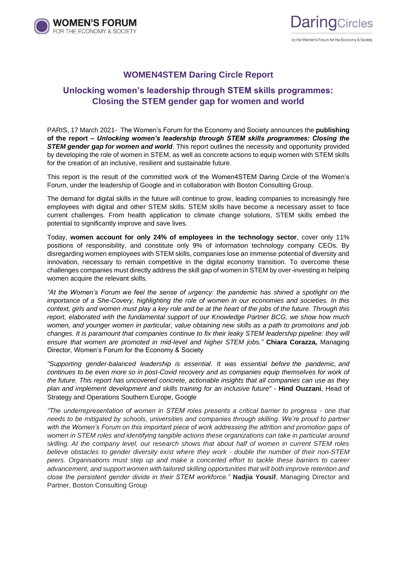



## **WOMEN4STEM Daring Circle Report**

# **Unlocking women's leadership through STEM skills programmes: Closing the STEM gender gap for women and world**

PARIS, 17 March 2021- The Women's Forum for the Economy and Society announces the **publishing of the report –** *Unlocking women's leadership through STEM skills programmes: Closing the STEM gender gap for women and world.* This report outlines the necessity and opportunity provided by developing the role of women in STEM, as well as concrete actions to equip women with STEM skills for the creation of an inclusive, resilient and sustainable future.

This report is the result of the committed work of the Women4STEM Daring Circle of the Women's Forum, under the leadership of Google and in collaboration with Boston Consulting Group.

The demand for digital skills in the future will continue to grow, leading companies to increasingly hire employees with digital and other STEM skills. STEM skills have become a necessary asset to face current challenges. From health application to climate change solutions, STEM skills embed the potential to significantly improve and save lives.

Today, **women account for only 24% of employees in the technology sector**, cover only 11% positions of responsibility, and constitute only 9% of information technology company CEOs. By disregarding women employees with STEM skills, companies lose an immense potential of diversity and innovation, necessary to remain competitive in the digital economy transition. To overcome these challenges companies must directly address the skill gap of women in STEM by over-investing in helping women acquire the relevant skills.

*"At the Women's Forum we feel the sense of urgency: the pandemic has shined a spotlight on the importance of a She-Covery, highlighting the role of women in our economies and societies. In this context, girls and women must play a key role and be at the heart of the jobs of the future. Through this report, elaborated with the fundamental support of our Knowledge Partner BCG, we show how much women, and younger women in particular, value obtaining new skills as a path to promotions and job changes. It is paramount that companies continue to fix their leaky STEM leadership pipeline: they will ensure that women are promoted in mid-level and higher STEM jobs."* **Chiara Corazza,** Managing Director, Women's Forum for the Economy & Society

*"Supporting gender-balanced leadership is essential. It was essential before the pandemic, and continues to be even more so in post-Covid recovery and as companies equip themselves for work of the future. This report has uncovered concrete, actionable insights that all companies can use as they plan and implement development and skills training for an inclusive future" -* **Hind Ouzzani**, Head of Strategy and Operations Southern Europe, Google

*"The underrepresentation of women in STEM roles presents a critical barrier to progress - one that needs to be mitigated by schools, universities and companies through skilling. We're proud to partner with the Women's Forum on this important piece of work addressing the attrition and promotion gaps of women in STEM roles and identifying tangible actions these organizations can take in particular around skilling. At the company level, our research shows that about half of women in current STEM roles believe obstacles to gender diversity exist where they work - double the number of their non-STEM peers. Organisations must step up and make a concerted effort to tackle these barriers to career advancement, and support women with tailored skilling opportunities that will both improve retention and close the persistent gender divide in their STEM workforce."* **Nadjia Yousif**, Managing Director and Partner, Boston Consulting Group